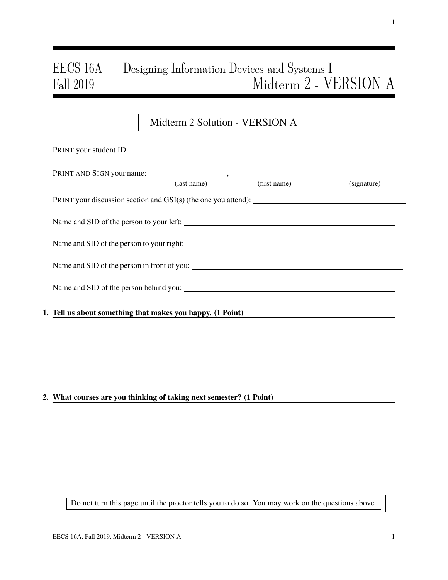# EECS 16A Designing Information Devices and Systems I Fall 2019 Midterm 2 - VERSION A

## Midterm 2 Solution - VERSION A

| PRINT your student ID:                                     |             |              |             |
|------------------------------------------------------------|-------------|--------------|-------------|
|                                                            |             |              |             |
|                                                            | (last name) | (first name) | (signature) |
|                                                            |             |              |             |
|                                                            |             |              |             |
|                                                            |             |              |             |
|                                                            |             |              |             |
|                                                            |             |              |             |
| 1. Tell us about something that makes you happy. (1 Point) |             |              |             |
|                                                            |             |              |             |
|                                                            |             |              |             |
|                                                            |             |              |             |

### 2. What courses are you thinking of taking next semester? (1 Point)

Do not turn this page until the proctor tells you to do so. You may work on the questions above.

1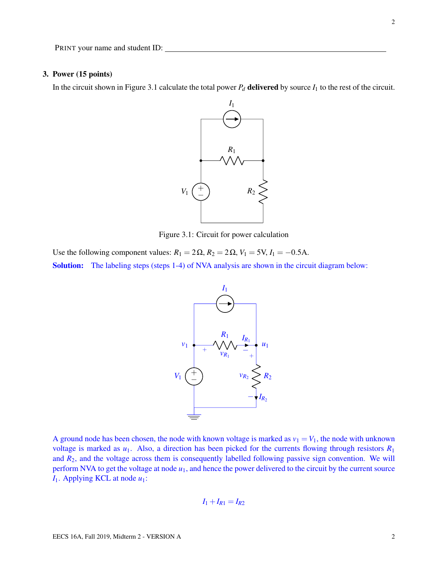#### 3. Power (15 points)

In the circuit shown in Figure 3.1 calculate the total power  $P_d$  delivered by source  $I_1$  to the rest of the circuit.



Figure 3.1: Circuit for power calculation

Use the following component values:  $R_1 = 2\Omega$ ,  $R_2 = 2\Omega$ ,  $V_1 = 5V$ ,  $I_1 = -0.5A$ . Solution: The labeling steps (steps 1-4) of NVA analysis are shown in the circuit diagram below:



A ground node has been chosen, the node with known voltage is marked as  $v_1 = V_1$ , the node with unknown voltage is marked as  $u_1$ . Also, a direction has been picked for the currents flowing through resistors  $R_1$ and  $R_2$ , and the voltage across them is consequently labelled following passive sign convention. We will perform NVA to get the voltage at node  $u_1$ , and hence the power delivered to the circuit by the current source *I*1. Applying KCL at node *u*1:

$$
I_1+I_{R1}=I_{R2}
$$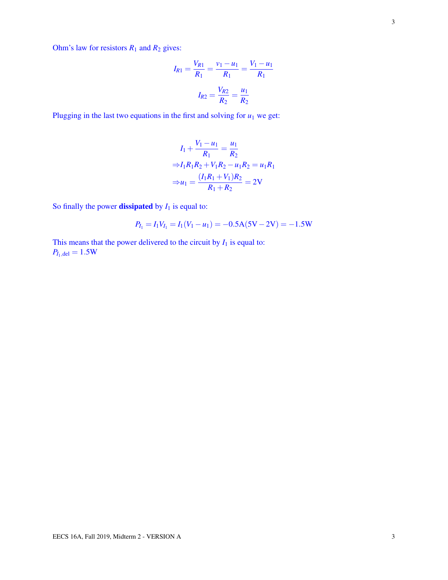Ohm's law for resistors  $R_1$  and  $R_2$  gives:

$$
I_{R1} = \frac{V_{R1}}{R_1} = \frac{v_1 - u_1}{R_1} = \frac{V_1 - u_1}{R_1}
$$

$$
I_{R2} = \frac{V_{R2}}{R_2} = \frac{u_1}{R_2}
$$

Plugging in the last two equations in the first and solving for  $u_1$  we get:

$$
I_1 + \frac{V_1 - u_1}{R_1} = \frac{u_1}{R_2}
$$
  
\n
$$
\Rightarrow I_1 R_1 R_2 + V_1 R_2 - u_1 R_2 = u_1 R_1
$$
  
\n
$$
\Rightarrow u_1 = \frac{(I_1 R_1 + V_1) R_2}{R_1 + R_2} = 2V
$$

So finally the power **dissipated** by  $I_1$  is equal to:

$$
P_{I_1} = I_1 V_{I_1} = I_1 (V_1 - u_1) = -0.5 \text{A} (5 \text{V} - 2 \text{V}) = -1.5 \text{W}
$$

This means that the power delivered to the circuit by  $I_1$  is equal to:  $P_{I_1, del} = 1.5W$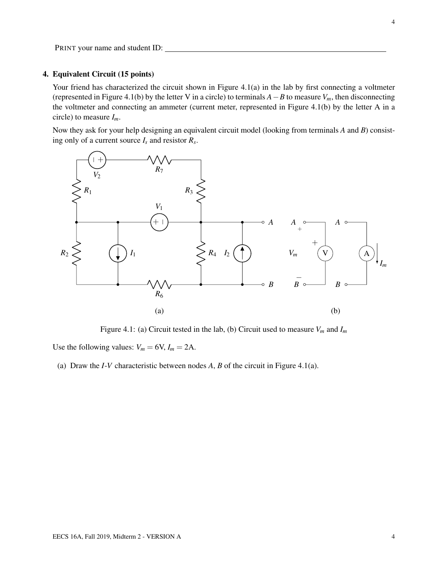#### 4. Equivalent Circuit (15 points)

Your friend has characterized the circuit shown in Figure 4.1(a) in the lab by first connecting a voltmeter (represented in Figure 4.1(b) by the letter V in a circle) to terminals *A*−*B* to measure *Vm*, then disconnecting the voltmeter and connecting an ammeter (current meter, represented in Figure 4.1(b) by the letter A in a circle) to measure *Im*.

Now they ask for your help designing an equivalent circuit model (looking from terminals *A* and *B*) consisting only of a current source *I<sup>s</sup>* and resistor *R<sup>s</sup>* .



Figure 4.1: (a) Circuit tested in the lab, (b) Circuit used to measure  $V_m$  and  $I_m$ 

Use the following values:  $V_m = 6V$ ,  $I_m = 2A$ .

(a) Draw the *I*-*V* characteristic between nodes *A*, *B* of the circuit in Figure 4.1(a).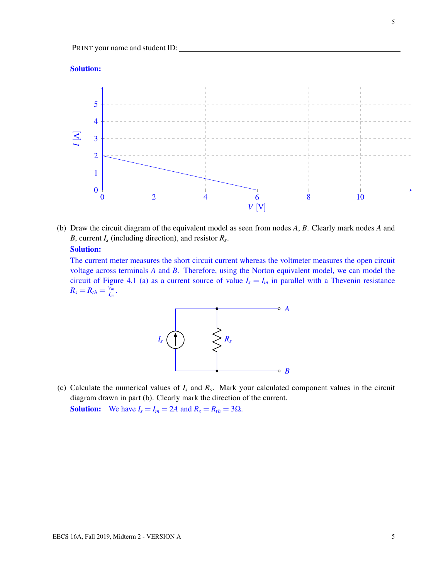#### Solution:



(b) Draw the circuit diagram of the equivalent model as seen from nodes *A*, *B*. Clearly mark nodes *A* and *B*, current *I<sup>s</sup>* (including direction), and resistor *R<sup>s</sup>* .

#### Solution:

The current meter measures the short circuit current whereas the voltmeter measures the open circuit voltage across terminals *A* and *B*. Therefore, using the Norton equivalent model, we can model the circuit of Figure 4.1 (a) as a current source of value  $I_s = I_m$  in parallel with a Thevenin resistance  $R_s = R_{th} = \frac{V_m}{I_m}$  $\frac{V_m}{I_m}$ .



(c) Calculate the numerical values of *I<sup>s</sup>* and *R<sup>s</sup>* . Mark your calculated component values in the circuit diagram drawn in part (b). Clearly mark the direction of the current. **Solution:** We have  $I_s = I_m = 2A$  and  $R_s = R_{th} = 3\Omega$ .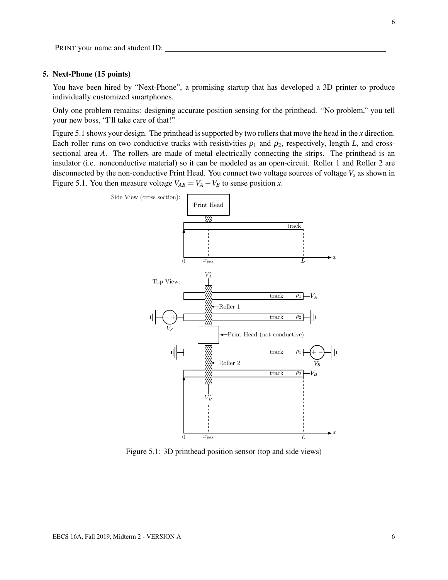#### 5. Next-Phone (15 points)

You have been hired by "Next-Phone", a promising startup that has developed a 3D printer to produce individually customized smartphones.

Only one problem remains: designing accurate position sensing for the printhead. "No problem," you tell your new boss, "I'll take care of that!"

Figure 5.1 shows your design. The printhead is supported by two rollers that move the head in the *x* direction. Each roller runs on two conductive tracks with resistivities  $\rho_1$  and  $\rho_2$ , respectively, length *L*, and crosssectional area *A*. The rollers are made of metal electrically connecting the strips. The printhead is an insulator (i.e. nonconductive material) so it can be modeled as an open-circuit. Roller 1 and Roller 2 are disconnected by the non-conductive Print Head. You connect two voltage sources of voltage *V<sup>s</sup>* as shown in Figure 5.1. You then measure voltage  $V_{AB} = V_A - V_B$  to sense position *x*.



Figure 5.1: 3D printhead position sensor (top and side views)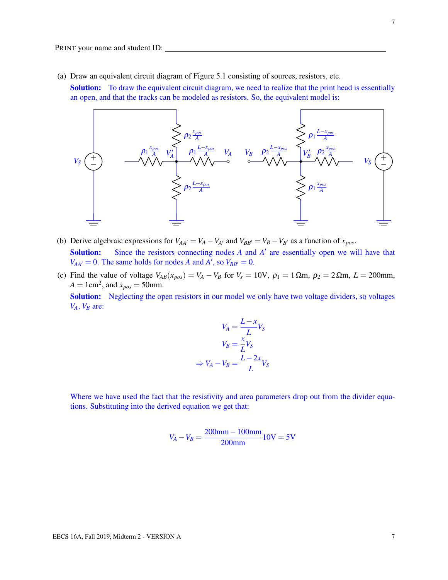(a) Draw an equivalent circuit diagram of Figure 5.1 consisting of sources, resistors, etc.

**Solution:** To draw the equivalent circuit diagram, we need to realize that the print head is essentially an open, and that the tracks can be modeled as resistors. So, the equivalent model is:



- (b) Derive algebraic expressions for  $V_{AA'} = V_A V_{A'}$  and  $V_{BB'} = V_B V_{B'}$  as a function of  $x_{pos}$ . Solution: Since the resistors connecting nodes *A* and *A'* are essentially open we will have that  $V_{AA'} = 0$ . The same holds for nodes *A* and *A*<sup> $\prime$ </sup>, so  $V_{BB'} = 0$ .
- (c) Find the value of voltage  $V_{AB}(x_{pos}) = V_A V_B$  for  $V_s = 10V$ ,  $\rho_1 = 1 \Omega m$ ,  $\rho_2 = 2 \Omega m$ ,  $L = 200$ mm,  $A = 1 \text{cm}^2$ , and  $x_{pos} = 50 \text{mm}$ . Solution: Neglecting the open resistors in our model we only have two voltage dividers, so voltages *VA*, *V<sup>B</sup>* are:

$$
V_A = \frac{L - x}{L} V_S
$$

$$
V_B = \frac{x}{L} V_S
$$

$$
\Rightarrow V_A - V_B = \frac{L - 2x}{L} V_S
$$

Where we have used the fact that the resistivity and area parameters drop out from the divider equations. Substituting into the derived equation we get that:

$$
V_A - V_B = \frac{200 \text{mm} - 100 \text{mm}}{200 \text{mm}} 10 \text{V} = 5 \text{V}
$$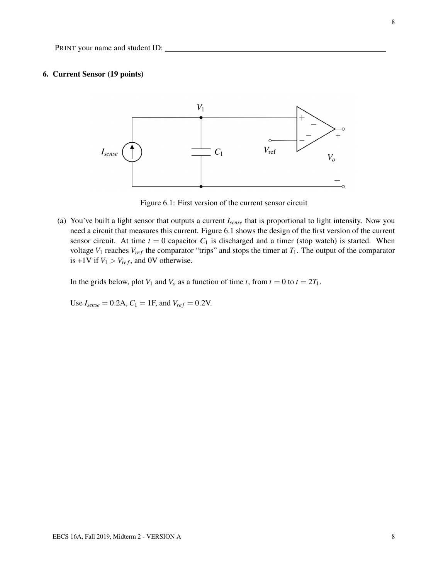#### 6. Current Sensor (19 points)



Figure 6.1: First version of the current sensor circuit

(a) You've built a light sensor that outputs a current *Isense* that is proportional to light intensity. Now you need a circuit that measures this current. Figure 6.1 shows the design of the first version of the current sensor circuit. At time  $t = 0$  capacitor  $C_1$  is discharged and a timer (stop watch) is started. When voltage  $V_1$  reaches  $V_{ref}$  the comparator "trips" and stops the timer at  $T_1$ . The output of the comparator is +1V if  $V_1 > V_{ref}$ , and 0V otherwise.

In the grids below, plot  $V_1$  and  $V_0$  as a function of time *t*, from  $t = 0$  to  $t = 2T_1$ .

Use  $I_{sense} = 0.2$ A,  $C_1 = 1$ F, and  $V_{ref} = 0.2$ V.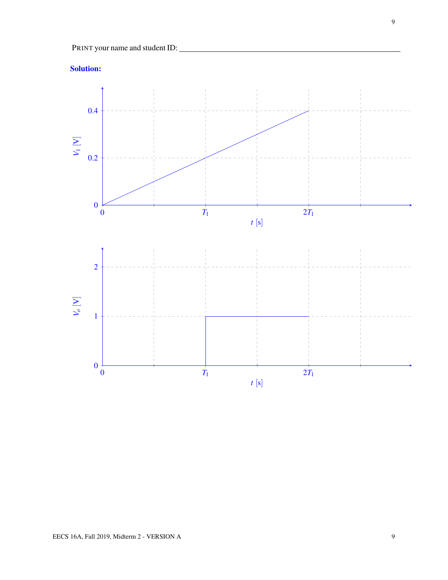

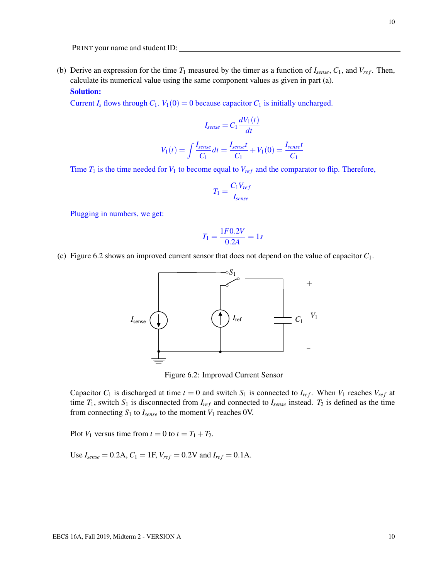(b) Derive an expression for the time  $T_1$  measured by the timer as a function of  $I_{\text{sense}}$ ,  $C_1$ , and  $V_{\text{ref}}$ . Then, calculate its numerical value using the same component values as given in part (a).

#### Solution:

Current  $I_s$  flows through  $C_1$ .  $V_1(0) = 0$  because capacitor  $C_1$  is initially uncharged.

$$
I_{sense} = C_1 \frac{dV_1(t)}{dt}
$$

$$
V_1(t) = \int \frac{I_{sense}}{C_1} dt = \frac{I_{sense}t}{C_1} + V_1(0) = \frac{I_{sense}t}{C_1}
$$

Time  $T_1$  is the time needed for  $V_1$  to become equal to  $V_{ref}$  and the comparator to flip. Therefore,

$$
T_1 = \frac{C_1 V_{ref}}{I_{sense}}
$$

Plugging in numbers, we get:

$$
T_1 = \frac{1F0.2V}{0.2A} = 1s
$$

(c) Figure 6.2 shows an improved current sensor that does not depend on the value of capacitor *C*1.



Figure 6.2: Improved Current Sensor

Capacitor  $C_1$  is discharged at time  $t = 0$  and switch  $S_1$  is connected to  $I_{ref}$ . When  $V_1$  reaches  $V_{ref}$  at time  $T_1$ , switch  $S_1$  is disconnected from  $I_{ref}$  and connected to  $I_{sense}$  instead.  $T_2$  is defined as the time from connecting  $S_1$  to  $I_{sense}$  to the moment  $V_1$  reaches 0V.

Plot  $V_1$  versus time from  $t = 0$  to  $t = T_1 + T_2$ .

Use  $I_{sense} = 0.2$ A,  $C_1 = 1$ F,  $V_{ref} = 0.2V$  and  $I_{ref} = 0.1$ A.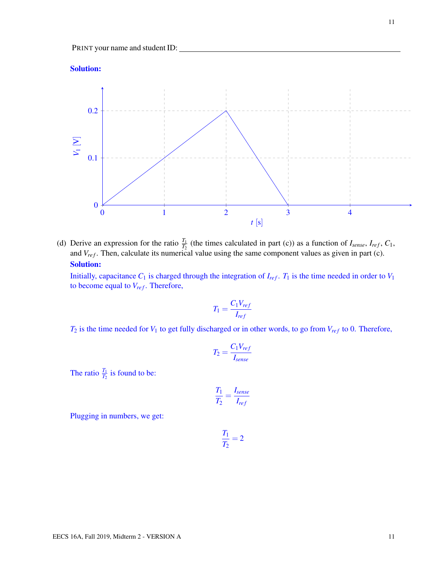



(d) Derive an expression for the ratio  $\frac{T_1}{T_2}$  (the times calculated in part (c)) as a function of  $I_{sense}$ ,  $I_{ref}$ ,  $C_1$ , and *V<sub>ref</sub>*. Then, calculate its numerical value using the same component values as given in part (c). Solution:

Initially, capacitance  $C_1$  is charged through the integration of  $I_{ref}$ .  $T_1$  is the time needed in order to  $V_1$ to become equal to  $V_{ref}$ . Therefore,

$$
T_1 = \frac{C_1 V_{ref}}{I_{ref}}
$$

 $T_2$  is the time needed for  $V_1$  to get fully discharged or in other words, to go from  $V_{ref}$  to 0. Therefore,

$$
T_2 = \frac{C_1 V_{ref}}{I_{sense}}
$$

The ratio  $\frac{T_1}{T_2}$  is found to be:

$$
\frac{T_1}{T_2} = \frac{I_{sense}}{I_{ref}}
$$

Plugging in numbers, we get:

$$
\frac{T_1}{T_2} = 2
$$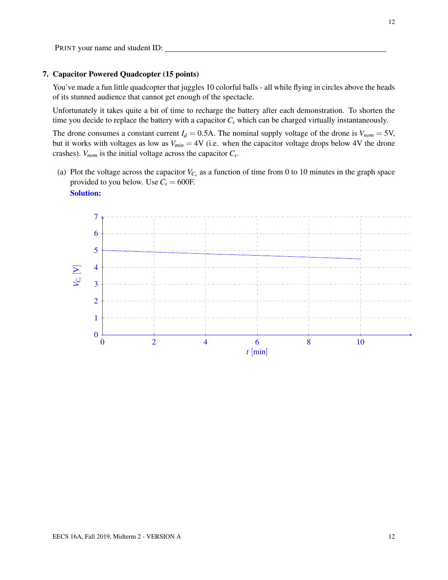#### 7. Capacitor Powered Quadcopter (15 points)

You've made a fun little quadcopter that juggles 10 colorful balls - all while flying in circles above the heads of its stunned audience that cannot get enough of the spectacle.

Unfortunately it takes quite a bit of time to recharge the battery after each demonstration. To shorten the time you decide to replace the battery with a capacitor *C<sup>s</sup>* which can be charged virtually instantaneously.

The drone consumes a constant current  $I_d = 0.5$ A. The nominal supply voltage of the drone is  $V_{nom} = 5$ V, but it works with voltages as low as  $V_{min} = 4V$  (i.e. when the capacitor voltage drops below 4V the drone crashes). *Vnom* is the initial voltage across the capacitor *C<sup>s</sup>* .

(a) Plot the voltage across the capacitor  $V_{C_s}$  as a function of time from 0 to 10 minutes in the graph space provided to you below. Use  $C_s = 600$ F.

#### Solution:

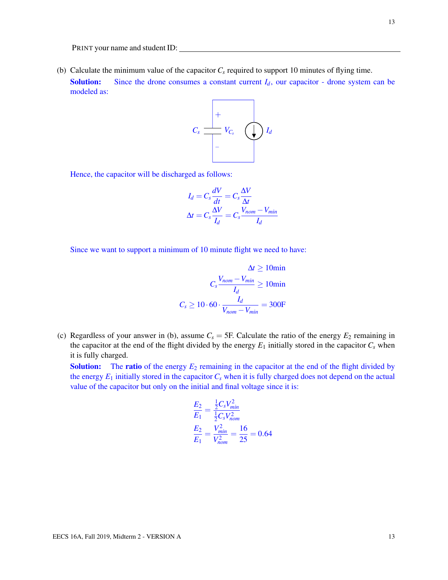(b) Calculate the minimum value of the capacitor  $C_s$  required to support 10 minutes of flying time. **Solution:** Since the drone consumes a constant current  $I_d$ , our capacitor - drone system can be modeled as:



Hence, the capacitor will be discharged as follows:

$$
I_d = C_s \frac{dV}{dt} = C_s \frac{\Delta V}{\Delta t}
$$

$$
\Delta t = C_s \frac{\Delta V}{I_d} = C_s \frac{V_{nom} - V_{min}}{I_d}
$$

Since we want to support a minimum of 10 minute flight we need to have:

$$
\Delta t \ge 10 \text{min}
$$

$$
C_s \frac{V_{nom} - V_{min}}{I_d} \ge 10 \text{min}
$$

$$
C_s \ge 10 \cdot 60 \cdot \frac{I_d}{V_{nom} - V_{min}} = 300 \text{F}
$$

(c) Regardless of your answer in (b), assume  $C_s = 5F$ . Calculate the ratio of the energy  $E_2$  remaining in the capacitor at the end of the flight divided by the energy  $E_1$  initially stored in the capacitor  $C_s$  when it is fully charged.

**Solution:** The **ratio** of the energy  $E_2$  remaining in the capacitor at the end of the flight divided by the energy  $E_1$  initially stored in the capacitor  $C_s$  when it is fully charged does not depend on the actual value of the capacitor but only on the initial and final voltage since it is:

$$
\frac{E_2}{E_1} = \frac{\frac{1}{2}C_sV_{min}^2}{\frac{1}{2}C_sV_{nom}^2}
$$

$$
\frac{E_2}{E_1} = \frac{V_{min}^2}{V_{nom}^2} = \frac{16}{25} = 0.64
$$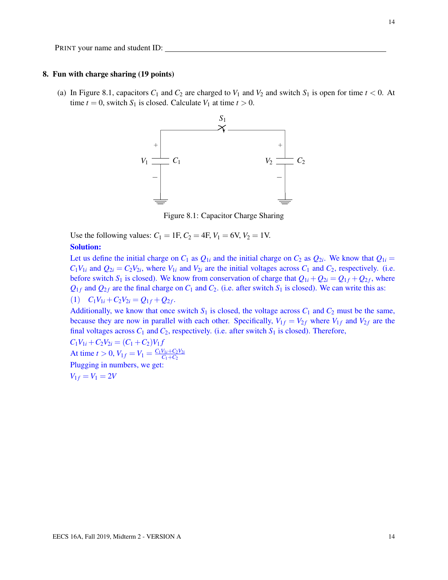#### 8. Fun with charge sharing (19 points)

(a) In Figure 8.1, capacitors  $C_1$  and  $C_2$  are charged to  $V_1$  and  $V_2$  and switch  $S_1$  is open for time  $t < 0$ . At time  $t = 0$ , switch  $S_1$  is closed. Calculate  $V_1$  at time  $t > 0$ .



Figure 8.1: Capacitor Charge Sharing

Use the following values:  $C_1 = 1F$ ,  $C_2 = 4F$ ,  $V_1 = 6V$ ,  $V_2 = 1V$ .

#### Solution:

Let us define the initial charge on  $C_1$  as  $Q_{1i}$  and the initial charge on  $C_2$  as  $Q_{2i}$ . We know that  $Q_{1i} =$  $C_1V_{1i}$  and  $Q_{2i} = C_2V_{2i}$ , where  $V_{1i}$  and  $V_{2i}$  are the initial voltages across  $C_1$  and  $C_2$ , respectively. (i.e. before switch  $S_1$  is closed). We know from conservation of charge that  $Q_{1i} + Q_{2i} = Q_{1f} + Q_{2f}$ , where  $Q_{1f}$  and  $Q_{2f}$  are the final charge on  $C_1$  and  $C_2$ . (i.e. after switch  $S_1$  is closed). We can write this as:

 $(1)$   $C_1V_{1i} + C_2V_{2i} = Q_{1f} + Q_{2f}.$ 

Additionally, we know that once switch  $S_1$  is closed, the voltage across  $C_1$  and  $C_2$  must be the same, because they are now in parallel with each other. Specifically,  $V_{1f} = V_{2f}$  where  $V_{1f}$  and  $V_{2f}$  are the final voltages across  $C_1$  and  $C_2$ , respectively. (i.e. after switch  $S_1$  is closed). Therefore,

 $C_1V_{1i} + C_2V_{2i} = (C_1 + C_2)V_1f$ At time  $t > 0$ ,  $V_{1f} = V_1 = \frac{C_1 V_{1i} + C_2 V_{2i}}{C_1 + C_2}$  $C_1 + C_2$ Plugging in numbers, we get:  $V_{1f} = V_1 = 2V$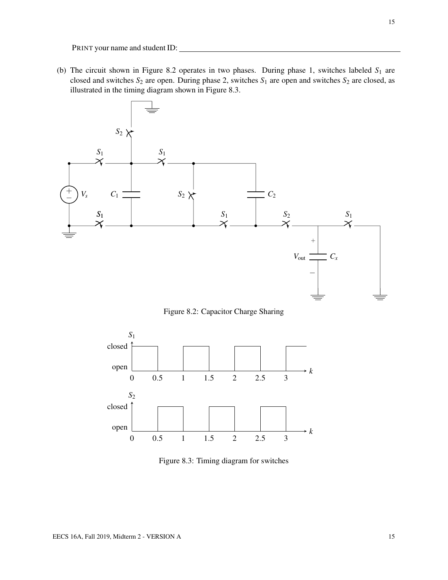(b) The circuit shown in Figure 8.2 operates in two phases. During phase 1, switches labeled  $S_1$  are closed and switches  $S_2$  are open. During phase 2, switches  $S_1$  are open and switches  $S_2$  are closed, as illustrated in the timing diagram shown in Figure 8.3.



Figure 8.2: Capacitor Charge Sharing



Figure 8.3: Timing diagram for switches